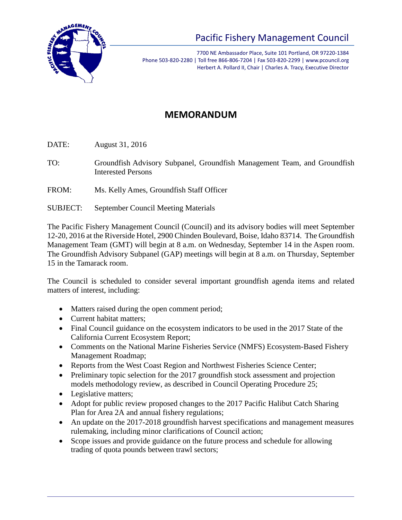

## Pacific Fishery Management Council

7700 NE Ambassador Place, Suite 101 Portland, OR 97220-1384 Phone 503-820-2280 | Toll free 866-806-7204 | Fax 503-820-2299 | www.pcouncil.org Herbert A. Pollard II, Chair | Charles A. Tracy, Executive Director

## **MEMORANDUM**

DATE: August 31, 2016

- TO: Groundfish Advisory Subpanel, Groundfish Management Team, and Groundfish Interested Persons
- FROM: Ms. Kelly Ames, Groundfish Staff Officer
- SUBJECT: September Council Meeting Materials

The Pacific Fishery Management Council (Council) and its advisory bodies will meet September 12-20, 2016 at the Riverside Hotel, 2900 Chinden Boulevard, Boise, Idaho 83714. The Groundfish Management Team (GMT) will begin at 8 a.m. on Wednesday, September 14 in the Aspen room. The Groundfish Advisory Subpanel (GAP) meetings will begin at 8 a.m. on Thursday, September 15 in the Tamarack room.

The Council is scheduled to consider several important groundfish agenda items and related matters of interest, including:

- Matters raised during the open comment period;
- Current habitat matters:
- Final Council guidance on the ecosystem indicators to be used in the 2017 State of the California Current Ecosystem Report;
- Comments on the National Marine Fisheries Service (NMFS) Ecosystem-Based Fishery Management Roadmap;
- Reports from the West Coast Region and Northwest Fisheries Science Center;
- Preliminary topic selection for the 2017 groundfish stock assessment and projection models methodology review, as described in Council Operating Procedure 25;
- Legislative matters;
- Adopt for public review proposed changes to the 2017 Pacific Halibut Catch Sharing Plan for Area 2A and annual fishery regulations;
- An update on the 2017-2018 groundfish harvest specifications and management measures rulemaking, including minor clarifications of Council action;
- Scope issues and provide guidance on the future process and schedule for allowing trading of quota pounds between trawl sectors;